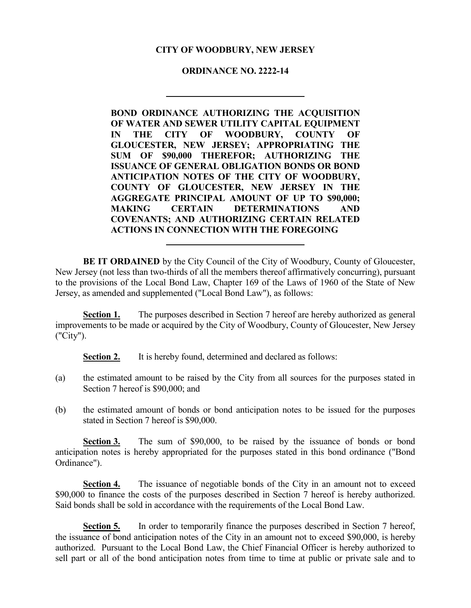# **CITY OF WOODBURY, NEW JERSEY**

# **ORDINANCE NO. 2222-14**

**BOND ORDINANCE AUTHORIZING THE ACQUISITION OF WATER AND SEWER UTILITY CAPITAL EQUIPMENT IN THE CITY OF WOODBURY, COUNTY OF GLOUCESTER, NEW JERSEY; APPROPRIATING THE SUM OF \$90,000 THEREFOR; AUTHORIZING THE ISSUANCE OF GENERAL OBLIGATION BONDS OR BOND ANTICIPATION NOTES OF THE CITY OF WOODBURY, COUNTY OF GLOUCESTER, NEW JERSEY IN THE AGGREGATE PRINCIPAL AMOUNT OF UP TO \$90,000; MAKING CERTAIN DETERMINATIONS AND COVENANTS; AND AUTHORIZING CERTAIN RELATED ACTIONS IN CONNECTION WITH THE FOREGOING**

**BE IT ORDAINED** by the City Council of the City of Woodbury, County of Gloucester, New Jersey (not less than two-thirds of all the members thereof affirmatively concurring), pursuant to the provisions of the Local Bond Law, Chapter 169 of the Laws of 1960 of the State of New Jersey, as amended and supplemented ("Local Bond Law"), as follows:

**Section 1.** The purposes described in Section 7 hereof are hereby authorized as general improvements to be made or acquired by the City of Woodbury, County of Gloucester, New Jersey ("City").

**Section 2.** It is hereby found, determined and declared as follows:

- (a) the estimated amount to be raised by the City from all sources for the purposes stated in Section 7 hereof is \$90,000; and
- (b) the estimated amount of bonds or bond anticipation notes to be issued for the purposes stated in Section 7 hereof is \$90,000.

**Section 3.** The sum of \$90,000, to be raised by the issuance of bonds or bond anticipation notes is hereby appropriated for the purposes stated in this bond ordinance ("Bond Ordinance").

**Section 4.** The issuance of negotiable bonds of the City in an amount not to exceed \$90,000 to finance the costs of the purposes described in Section 7 hereof is hereby authorized. Said bonds shall be sold in accordance with the requirements of the Local Bond Law.

**Section 5.** In order to temporarily finance the purposes described in Section 7 hereof, the issuance of bond anticipation notes of the City in an amount not to exceed \$90,000, is hereby authorized. Pursuant to the Local Bond Law, the Chief Financial Officer is hereby authorized to sell part or all of the bond anticipation notes from time to time at public or private sale and to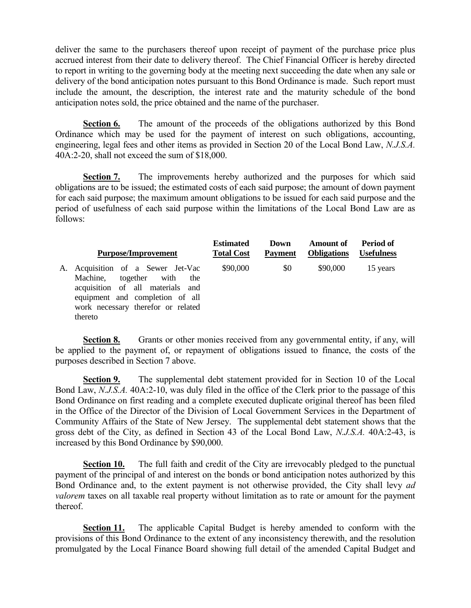deliver the same to the purchasers thereof upon receipt of payment of the purchase price plus accrued interest from their date to delivery thereof. The Chief Financial Officer is hereby directed to report in writing to the governing body at the meeting next succeeding the date when any sale or delivery of the bond anticipation notes pursuant to this Bond Ordinance is made. Such report must include the amount, the description, the interest rate and the maturity schedule of the bond anticipation notes sold, the price obtained and the name of the purchaser.

**Section 6.** The amount of the proceeds of the obligations authorized by this Bond Ordinance which may be used for the payment of interest on such obligations, accounting, engineering, legal fees and other items as provided in Section 20 of the Local Bond Law, *N.J.S.A.* 40A:2-20, shall not exceed the sum of \$18,000.

**Section 7.** The improvements hereby authorized and the purposes for which said obligations are to be issued; the estimated costs of each said purpose; the amount of down payment for each said purpose; the maximum amount obligations to be issued for each said purpose and the period of usefulness of each said purpose within the limitations of the Local Bond Law are as follows:

|    | <b>Purpose/Improvement</b>                                                                                                                                                              | <b>Estimated</b><br><b>Total Cost</b> | Down<br><b>Payment</b> | Amount of<br><b>Obligations</b> | Period of<br><b>Usefulness</b> |
|----|-----------------------------------------------------------------------------------------------------------------------------------------------------------------------------------------|---------------------------------------|------------------------|---------------------------------|--------------------------------|
| А. | Acquisition of a Sewer Jet-Vac<br>Machine, together with<br>the<br>acquisition of all materials and<br>equipment and completion of all<br>work necessary therefor or related<br>thereto | \$90,000                              | \$0                    | \$90,000                        | 15 years                       |

**Section 8.** Grants or other monies received from any governmental entity, if any, will be applied to the payment of, or repayment of obligations issued to finance, the costs of the purposes described in Section 7 above.

**Section 9.** The supplemental debt statement provided for in Section 10 of the Local Bond Law, *N.J.S.A.* 40A:2-10, was duly filed in the office of the Clerk prior to the passage of this Bond Ordinance on first reading and a complete executed duplicate original thereof has been filed in the Office of the Director of the Division of Local Government Services in the Department of Community Affairs of the State of New Jersey. The supplemental debt statement shows that the gross debt of the City, as defined in Section 43 of the Local Bond Law, *N.J.S.A.* 40A:2-43, is increased by this Bond Ordinance by \$90,000.

**Section 10.** The full faith and credit of the City are irrevocably pledged to the punctual payment of the principal of and interest on the bonds or bond anticipation notes authorized by this Bond Ordinance and, to the extent payment is not otherwise provided, the City shall levy *ad valorem* taxes on all taxable real property without limitation as to rate or amount for the payment thereof.

**Section 11.** The applicable Capital Budget is hereby amended to conform with the provisions of this Bond Ordinance to the extent of any inconsistency therewith, and the resolution promulgated by the Local Finance Board showing full detail of the amended Capital Budget and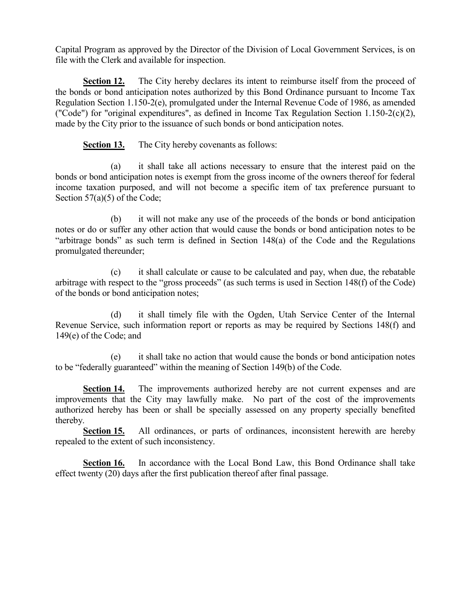Capital Program as approved by the Director of the Division of Local Government Services, is on file with the Clerk and available for inspection.

**Section 12.** The City hereby declares its intent to reimburse itself from the proceed of the bonds or bond anticipation notes authorized by this Bond Ordinance pursuant to Income Tax Regulation Section 1.150-2(e), promulgated under the Internal Revenue Code of 1986, as amended ("Code") for "original expenditures", as defined in Income Tax Regulation Section 1.150-2(c)(2), made by the City prior to the issuance of such bonds or bond anticipation notes.

**Section 13.** The City hereby covenants as follows:

(a) it shall take all actions necessary to ensure that the interest paid on the bonds or bond anticipation notes is exempt from the gross income of the owners thereof for federal income taxation purposed, and will not become a specific item of tax preference pursuant to Section 57(a)(5) of the Code;

(b) it will not make any use of the proceeds of the bonds or bond anticipation notes or do or suffer any other action that would cause the bonds or bond anticipation notes to be "arbitrage bonds" as such term is defined in Section 148(a) of the Code and the Regulations promulgated thereunder;

(c) it shall calculate or cause to be calculated and pay, when due, the rebatable arbitrage with respect to the "gross proceeds" (as such terms is used in Section 148(f) of the Code) of the bonds or bond anticipation notes;

(d) it shall timely file with the Ogden, Utah Service Center of the Internal Revenue Service, such information report or reports as may be required by Sections 148(f) and 149(e) of the Code; and

(e) it shall take no action that would cause the bonds or bond anticipation notes to be "federally guaranteed" within the meaning of Section 149(b) of the Code.

**Section 14.** The improvements authorized hereby are not current expenses and are improvements that the City may lawfully make. No part of the cost of the improvements authorized hereby has been or shall be specially assessed on any property specially benefited thereby.

**Section 15.** All ordinances, or parts of ordinances, inconsistent herewith are hereby repealed to the extent of such inconsistency.

**Section 16.** In accordance with the Local Bond Law, this Bond Ordinance shall take effect twenty (20) days after the first publication thereof after final passage.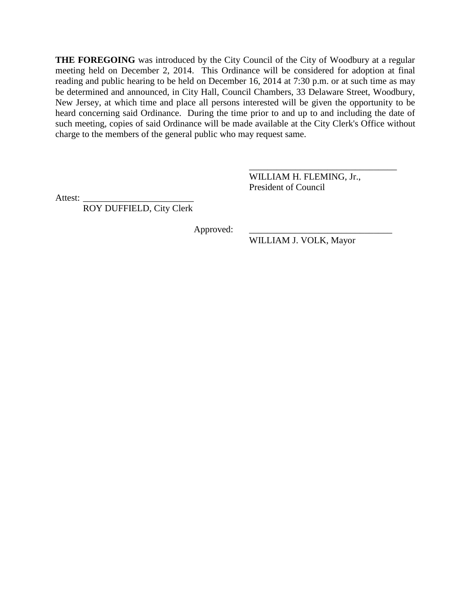**THE FOREGOING** was introduced by the City Council of the City of Woodbury at a regular meeting held on December 2, 2014. This Ordinance will be considered for adoption at final reading and public hearing to be held on December 16, 2014 at 7:30 p.m. or at such time as may be determined and announced, in City Hall, Council Chambers, 33 Delaware Street, Woodbury, New Jersey, at which time and place all persons interested will be given the opportunity to be heard concerning said Ordinance. During the time prior to and up to and including the date of such meeting, copies of said Ordinance will be made available at the City Clerk's Office without charge to the members of the general public who may request same.

> WILLIAM H. FLEMING, Jr., President of Council

\_\_\_\_\_\_\_\_\_\_\_\_\_\_\_\_\_\_\_\_\_\_\_\_\_\_\_\_\_\_\_\_

Attest:

ROY DUFFIELD, City Clerk

Approved:

WILLIAM J. VOLK, Mayor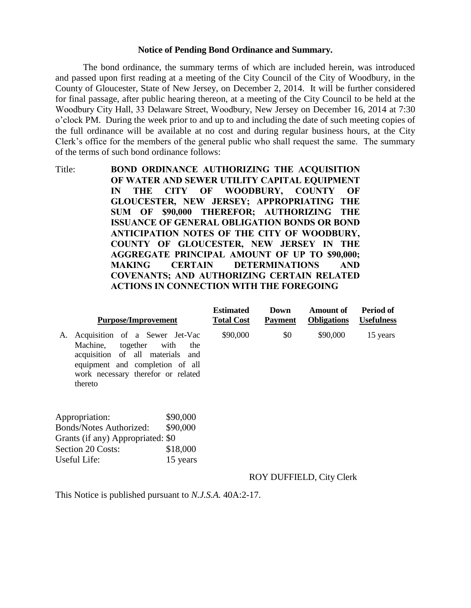### **Notice of Pending Bond Ordinance and Summary.**

The bond ordinance, the summary terms of which are included herein, was introduced and passed upon first reading at a meeting of the City Council of the City of Woodbury, in the County of Gloucester, State of New Jersey, on December 2, 2014. It will be further considered for final passage, after public hearing thereon, at a meeting of the City Council to be held at the Woodbury City Hall, 33 Delaware Street, Woodbury, New Jersey on December 16, 2014 at 7:30 o'clock PM. During the week prior to and up to and including the date of such meeting copies of the full ordinance will be available at no cost and during regular business hours, at the City Clerk's office for the members of the general public who shall request the same. The summary of the terms of such bond ordinance follows:

Title: **BOND ORDINANCE AUTHORIZING THE ACQUISITION OF WATER AND SEWER UTILITY CAPITAL EQUIPMENT IN THE CITY OF WOODBURY, COUNTY OF GLOUCESTER, NEW JERSEY; APPROPRIATING THE SUM OF \$90,000 THEREFOR; AUTHORIZING THE ISSUANCE OF GENERAL OBLIGATION BONDS OR BOND ANTICIPATION NOTES OF THE CITY OF WOODBURY, COUNTY OF GLOUCESTER, NEW JERSEY IN THE AGGREGATE PRINCIPAL AMOUNT OF UP TO \$90,000; MAKING CERTAIN DETERMINATIONS AND COVENANTS; AND AUTHORIZING CERTAIN RELATED ACTIONS IN CONNECTION WITH THE FOREGOING**

| <b>Purpose/Improvement</b>                                                                                                                                                           |             | <b>Estimated</b><br><b>Total Cost</b> | Down<br><b>Payment</b> | Amount of<br><b>Obligations</b> | Period of<br><b>Usefulness</b> |
|--------------------------------------------------------------------------------------------------------------------------------------------------------------------------------------|-------------|---------------------------------------|------------------------|---------------------------------|--------------------------------|
| Acquisition of a Sewer Jet-Vac<br>А.<br>together<br>Machine.<br>acquisition of all materials and<br>equipment and completion of all<br>work necessary therefor or related<br>thereto | with<br>the | \$90,000                              | \$0                    | \$90,000                        | 15 years                       |
| \$90,000<br>Appropriation:                                                                                                                                                           |             |                                       |                        |                                 |                                |
| <b>Bonds/Notes Authorized:</b>                                                                                                                                                       | \$90,000    |                                       |                        |                                 |                                |
| Grants (if any) Appropriated: \$0                                                                                                                                                    |             |                                       |                        |                                 |                                |
| \$18,000<br>Section 20 Costs:                                                                                                                                                        |             |                                       |                        |                                 |                                |
| Useful Life:                                                                                                                                                                         | 15 years    |                                       |                        |                                 |                                |

# ROY DUFFIELD, City Clerk

This Notice is published pursuant to *N.J.S.A.* 40A:2-17.